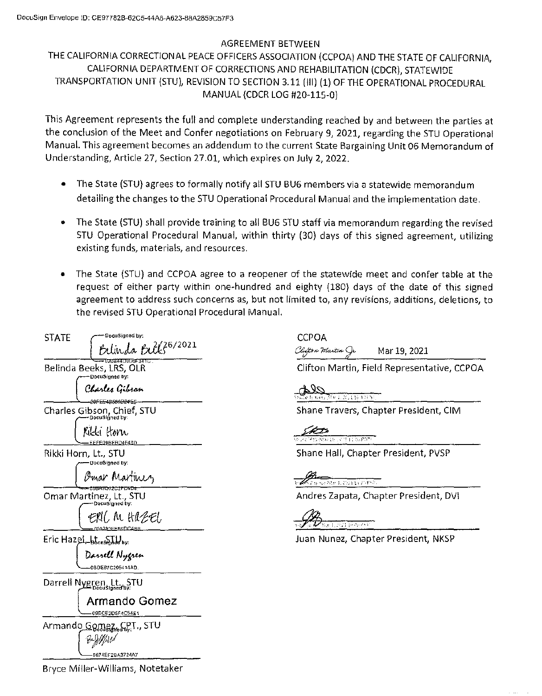## AGREEMENT BETWEEN

## THE CALIFORNIA CORRECTIONAL PEACE OFFICERS ASSOCIATION (CCPOA) AND THE STATE OF CALIFORNIA, CALIFORNIA DEPARTMENT OF CORRECTIONS AND REHABILITATION (CDCR), STATEWIDE TRANSPORTATION UNIT (STU), REVISION TO SECTION 3.11 (111) (1) OF THE OPERATIONAL PROCEDURAL MANUAL (CDCR LOG #20-115-0)

This Agreement represents the full and complete understanding reached by and between the parties at the conclusion of the Meet and Confer negotiations on February 9, 2021, regarding the STU Operational Manual. This agreement becomes an addendum to the current State Bargaining Unit 06 Memorandum of Understanding, Article 27, Section 27.01, which expires on July 2, 2022.

- The State {STU) agrees to formally notify all STU BUG members via a statewide memorandum detailing the changes to the STU Operational Procedural Manual and the implementation date.
- The State {STU) shall provide training to all BU6 STU staff via memorandum regarding the revised STU Operational Procedural Manual, within thirty (30) days of this signed agreement, utilizing existing funds, materials, and resources.
- The State {STU) and CCPOA agree to a reopener of the statewide meet and confer table at the request of either party within one-hundred and eighty {180) days of the date of this signed agreement to address such concerns as, but not limited to, any revisions, additions, deletions, to the revised STU Operational Procedural Manual.

| STATE | DocuSigned by:                                                   |  |
|-------|------------------------------------------------------------------|--|
|       | Belinda Bill 36/2021                                             |  |
|       | Belinda Beeks, LRS, OLR                                          |  |
|       | DocuSigned by:<br>Charles Gibson<br>20FE <del>E4B580D24</del> E5 |  |
|       | Charles Gibson, Chief, STU                                       |  |
|       | Kikki konu<br>EUPRERD4F4BD                                       |  |
|       | Rikki Horn, Lt., STU                                             |  |
|       | DocuSigned by:<br>Omar Martinez                                  |  |
|       | 58A3D72C2114D4<br>Omar Martinez, Lt., STU                        |  |
|       | ERIC M HIZEL<br>A <del>291EEBO</del> DC4BB                       |  |
|       | Eric Hazel-breastyhed by:                                        |  |
|       | Darrell Nygren<br>0BDE87C295414AD.                               |  |
|       | Darrell Nygren, Lt., STU                                         |  |
|       | Armando Gomez<br>09ECE2D5F4C54E1                                 |  |
|       | Armando <u>Gomez. CP</u> T., STU<br>BYWAU<br>9674EF2BA3724A7     |  |
|       | Bryce Miller-Williams, Notetaker                                 |  |

**CCPOA** Clutton Martin Mar 19, 2021

Clifton Martin, Field Representative, CCPOA

facility ( 16 4 1 1 S).

Shane Travers, Chapter President, CIM

Angels of the Country Prints

Shane Hall, Chapter President, PVSP

Special March 2021 In 2018 St

Andres Zapata, Chapter President, DV!

SI PART

Juan Nunez, Chapter President, NKSP